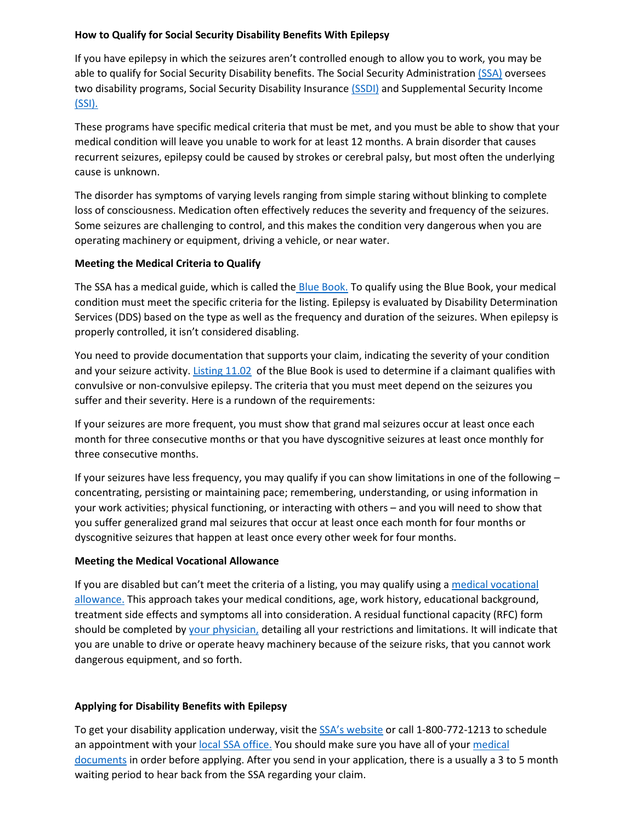### **How to Qualify for Social Security Disability Benefits With Epilepsy**

If you have epilepsy in which the seizures aren't controlled enough to allow you to work, you may be able to qualify for Social Security Disability benefits. The Social Security Administration [\(SSA\)](https://www.ssa.gov/) oversees two disability programs, Social Security Disability Insuranc[e \(SSDI\)](https://www.ssa.gov/disability/) and Supplemental Security Income [\(SSI\).](https://www.ssa.gov/ssi/)

These programs have specific medical criteria that must be met, and you must be able to show that your medical condition will leave you unable to work for at least 12 months. A brain disorder that causes recurrent seizures, epilepsy could be caused by strokes or cerebral palsy, but most often the underlying cause is unknown.

The disorder has symptoms of varying levels ranging from simple staring without blinking to complete loss of consciousness. Medication often effectively reduces the severity and frequency of the seizures. Some seizures are challenging to control, and this makes the condition very dangerous when you are operating machinery or equipment, driving a vehicle, or near water.

### **Meeting the Medical Criteria to Qualify**

The SSA has a medical guide, which is called the [Blue Book.](https://www.ssa.gov/disability/professionals/bluebook/AdultListings.htm) To qualify using the Blue Book, your medical condition must meet the specific criteria for the listing. Epilepsy is evaluated by Disability Determination Services (DDS) based on the type as well as the frequency and duration of the seizures. When epilepsy is properly controlled, it isn't considered disabling.

You need to provide documentation that supports your claim, indicating the severity of your condition and your seizure activity. [Listing 11.02](https://www.ssa.gov/disability/professionals/bluebook/11.00-Neurological-Adult.htm#11_02) of the Blue Book is used to determine if a claimant qualifies with convulsive or non-convulsive epilepsy. The criteria that you must meet depend on the seizures you suffer and their severity. Here is a rundown of the requirements:

If your seizures are more frequent, you must show that grand mal seizures occur at least once each month for three consecutive months or that you have dyscognitive seizures at least once monthly for three consecutive months.

If your seizures have less frequency, you may qualify if you can show limitations in one of the following – concentrating, persisting or maintaining pace; remembering, understanding, or using information in your work activities; physical functioning, or interacting with others – and you will need to show that you suffer generalized grand mal seizures that occur at least once each month for four months or dyscognitive seizures that happen at least once every other week for four months.

# **Meeting the Medical Vocational Allowance**

If you are disabled but can't meet the criteria of a listing, you may qualify using a [medical vocational](https://secure.ssa.gov/poms.nsf/lnx/0425025005)  [allowance.](https://secure.ssa.gov/poms.nsf/lnx/0425025005) This approach takes your medical conditions, age, work history, educational background, treatment side effects and symptoms all into consideration. A residual functional capacity (RFC) form should be completed by [your physician,](https://www.disabilitybenefitscenter.org/how-to/get-physician-help-disability-claim) detailing all your restrictions and limitations. It will indicate that you are unable to drive or operate heavy machinery because of the seizure risks, that you cannot work dangerous equipment, and so forth.

# **Applying for Disability Benefits with Epilepsy**

To get your disability application underway, visit th[e SSA's website](https://www.ssa.gov/disability/disability.html) or call 1-800-772-1213 to schedule an appointment with you[r local SSA office.](https://secure.ssa.gov/ICON/main.jsp) You should make sure you have all of your [medical](https://www.disabilitybenefitscenter.org/glossary/acceptable-medical-source)  [documents](https://www.disabilitybenefitscenter.org/glossary/acceptable-medical-source) in order before applying. After you send in your application, there is a usually a 3 to 5 month waiting period to hear back from the SSA regarding your claim.